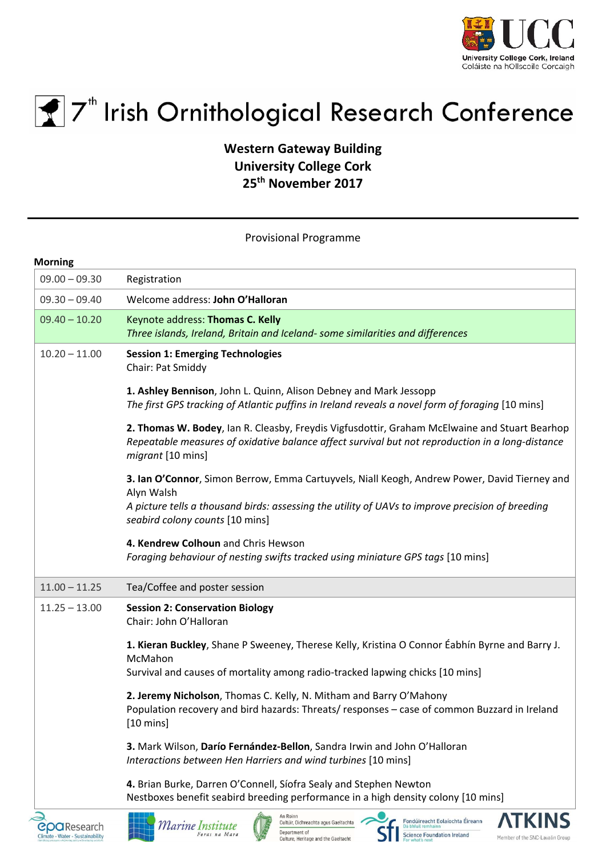



## $\mathbf{F}$  7<sup>th</sup> Irish Ornithological Research Conference

**Western Gateway Building University College Cork 25th November 2017**

Provisional Programme

| <b>Morning</b>  |                                                                                                                                                                                                                                                   |
|-----------------|---------------------------------------------------------------------------------------------------------------------------------------------------------------------------------------------------------------------------------------------------|
| $09.00 - 09.30$ | Registration                                                                                                                                                                                                                                      |
| $09.30 - 09.40$ | Welcome address: John O'Halloran                                                                                                                                                                                                                  |
| $09.40 - 10.20$ | Keynote address: Thomas C. Kelly<br>Three islands, Ireland, Britain and Iceland- some similarities and differences                                                                                                                                |
| $10.20 - 11.00$ | <b>Session 1: Emerging Technologies</b><br>Chair: Pat Smiddy                                                                                                                                                                                      |
|                 | 1. Ashley Bennison, John L. Quinn, Alison Debney and Mark Jessopp<br>The first GPS tracking of Atlantic puffins in Ireland reveals a novel form of foraging [10 mins]                                                                             |
|                 | 2. Thomas W. Bodey, Ian R. Cleasby, Freydis Vigfusdottir, Graham McElwaine and Stuart Bearhop<br>Repeatable measures of oxidative balance affect survival but not reproduction in a long-distance<br>migrant [10 mins]                            |
|                 | 3. Ian O'Connor, Simon Berrow, Emma Cartuyvels, Niall Keogh, Andrew Power, David Tierney and<br>Alyn Walsh<br>A picture tells a thousand birds: assessing the utility of UAVs to improve precision of breeding<br>seabird colony counts [10 mins] |
|                 | 4. Kendrew Colhoun and Chris Hewson<br>Foraging behaviour of nesting swifts tracked using miniature GPS tags [10 mins]                                                                                                                            |
| $11.00 - 11.25$ | Tea/Coffee and poster session                                                                                                                                                                                                                     |
| $11.25 - 13.00$ | <b>Session 2: Conservation Biology</b><br>Chair: John O'Halloran                                                                                                                                                                                  |
|                 | 1. Kieran Buckley, Shane P Sweeney, Therese Kelly, Kristina O Connor Éabhín Byrne and Barry J.<br>McMahon                                                                                                                                         |
|                 | Survival and causes of mortality among radio-tracked lapwing chicks [10 mins]                                                                                                                                                                     |
|                 | 2. Jeremy Nicholson, Thomas C. Kelly, N. Mitham and Barry O'Mahony<br>Population recovery and bird hazards: Threats/ responses - case of common Buzzard in Ireland<br>$[10 \text{ mins}]$                                                         |
|                 | 3. Mark Wilson, Darío Fernández-Bellon, Sandra Irwin and John O'Halloran<br>Interactions between Hen Harriers and wind turbines [10 mins]                                                                                                         |
|                 | 4. Brian Burke, Darren O'Connell, Síofra Sealy and Stephen Newton<br>Nestboxes benefit seabird breeding performance in a high density colony [10 mins]                                                                                            |









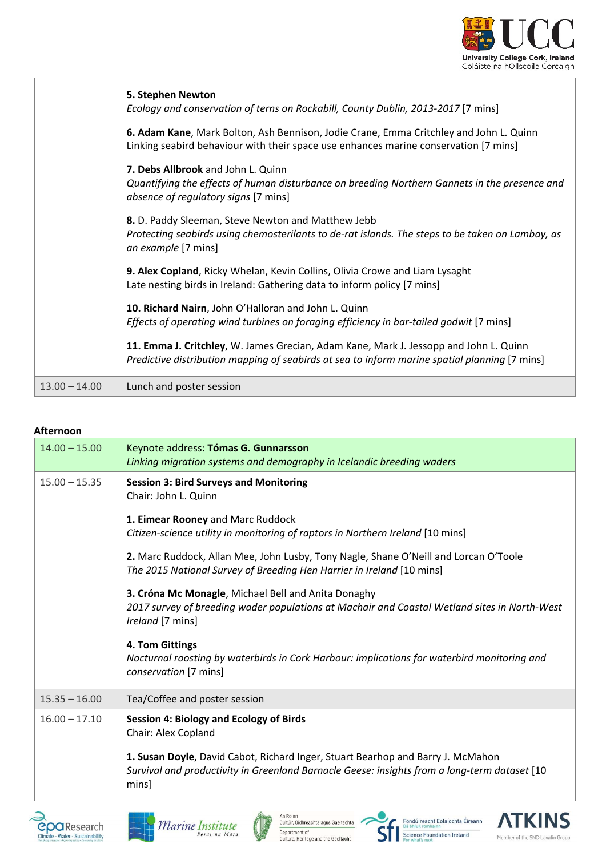

|                 | 5. Stephen Newton<br>Ecology and conservation of terns on Rockabill, County Dublin, 2013-2017 [7 mins]                                                                                 |
|-----------------|----------------------------------------------------------------------------------------------------------------------------------------------------------------------------------------|
|                 | 6. Adam Kane, Mark Bolton, Ash Bennison, Jodie Crane, Emma Critchley and John L. Quinn<br>Linking seabird behaviour with their space use enhances marine conservation [7 mins]         |
|                 | 7. Debs Allbrook and John L. Quinn<br>Quantifying the effects of human disturbance on breeding Northern Gannets in the presence and<br>absence of regulatory signs [7 mins]            |
|                 | 8. D. Paddy Sleeman, Steve Newton and Matthew Jebb<br>Protecting seabirds using chemosterilants to de-rat islands. The steps to be taken on Lambay, as<br>an example [7 mins]          |
|                 | 9. Alex Copland, Ricky Whelan, Kevin Collins, Olivia Crowe and Liam Lysaght<br>Late nesting birds in Ireland: Gathering data to inform policy [7 mins]                                 |
|                 | 10. Richard Nairn, John O'Halloran and John L. Quinn<br>Effects of operating wind turbines on foraging efficiency in bar-tailed godwit [7 mins]                                        |
|                 | 11. Emma J. Critchley, W. James Grecian, Adam Kane, Mark J. Jessopp and John L. Quinn<br>Predictive distribution mapping of seabirds at sea to inform marine spatial planning [7 mins] |
| $13.00 - 14.00$ | Lunch and poster session                                                                                                                                                               |

## **Afternoon**

| $14.00 - 15.00$ | Keynote address: Tómas G. Gunnarsson<br>Linking migration systems and demography in Icelandic breeding waders                                                                            |
|-----------------|------------------------------------------------------------------------------------------------------------------------------------------------------------------------------------------|
| $15.00 - 15.35$ | <b>Session 3: Bird Surveys and Monitoring</b><br>Chair: John L. Quinn                                                                                                                    |
|                 | 1. Eimear Rooney and Marc Ruddock<br>Citizen-science utility in monitoring of raptors in Northern Ireland [10 mins]                                                                      |
|                 | 2. Marc Ruddock, Allan Mee, John Lusby, Tony Nagle, Shane O'Neill and Lorcan O'Toole<br>The 2015 National Survey of Breeding Hen Harrier in Ireland [10 mins]                            |
|                 | 3. Cróna Mc Monagle, Michael Bell and Anita Donaghy<br>2017 survey of breeding wader populations at Machair and Coastal Wetland sites in North-West<br>Ireland [7 mins]                  |
|                 | 4. Tom Gittings<br>Nocturnal roosting by waterbirds in Cork Harbour: implications for waterbird monitoring and<br>conservation [7 mins]                                                  |
| $15.35 - 16.00$ | Tea/Coffee and poster session                                                                                                                                                            |
| $16.00 - 17.10$ | <b>Session 4: Biology and Ecology of Birds</b><br>Chair: Alex Copland                                                                                                                    |
|                 | 1. Susan Doyle, David Cabot, Richard Inger, Stuart Bearhop and Barry J. McMahon<br>Survival and productivity in Greenland Barnacle Geese: insights from a long-term dataset [10<br>mins] |







An Roinn<br>Cultúir, Oidhreachta agus Gaeltachta Department of<br>Culture, Heritage and the Gaeltacht



Fondúireacht Eolaíochta Éireann<br>Dá bhfuil romhainn Fondúireacht Eolaíochta Éire<br>Staitear Bá bhfuil romhainn<br>Science Foundation Ireland<br>For what's next

**TKINS** 

Member of the SNC-Lavalin Group